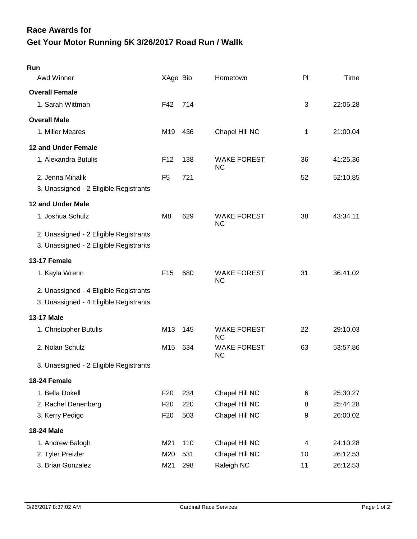## **Get Your Motor Running 5K 3/26/2017 Road Run / Wallk Race Awards for**

| Run                                                                              |                 |     |                                 |    |          |
|----------------------------------------------------------------------------------|-----------------|-----|---------------------------------|----|----------|
| Awd Winner                                                                       | XAge Bib        |     | Hometown                        | PI | Time     |
| <b>Overall Female</b>                                                            |                 |     |                                 |    |          |
| 1. Sarah Wittman                                                                 | F42             | 714 |                                 | 3  | 22:05.28 |
| <b>Overall Male</b>                                                              |                 |     |                                 |    |          |
| 1. Miller Meares                                                                 | M19             | 436 | Chapel Hill NC                  | 1  | 21:00.04 |
| 12 and Under Female                                                              |                 |     |                                 |    |          |
| 1. Alexandra Butulis                                                             | F <sub>12</sub> | 138 | <b>WAKE FOREST</b><br>NC        | 36 | 41:25.36 |
| 2. Jenna Mihalik                                                                 | F <sub>5</sub>  | 721 |                                 | 52 | 52:10.85 |
| 3. Unassigned - 2 Eligible Registrants                                           |                 |     |                                 |    |          |
| <b>12 and Under Male</b>                                                         |                 |     |                                 |    |          |
| 1. Joshua Schulz                                                                 | M <sub>8</sub>  | 629 | <b>WAKE FOREST</b><br>NC        | 38 | 43:34.11 |
| 2. Unassigned - 2 Eligible Registrants<br>3. Unassigned - 2 Eligible Registrants |                 |     |                                 |    |          |
| <b>13-17 Female</b>                                                              |                 |     |                                 |    |          |
| 1. Kayla Wrenn                                                                   | F <sub>15</sub> | 680 | <b>WAKE FOREST</b><br>NC        | 31 | 36:41.02 |
| 2. Unassigned - 4 Eligible Registrants                                           |                 |     |                                 |    |          |
| 3. Unassigned - 4 Eligible Registrants                                           |                 |     |                                 |    |          |
| <b>13-17 Male</b>                                                                |                 |     |                                 |    |          |
| 1. Christopher Butulis                                                           | M <sub>13</sub> | 145 | <b>WAKE FOREST</b><br><b>NC</b> | 22 | 29:10.03 |
| 2. Nolan Schulz                                                                  | M15             | 634 | <b>WAKE FOREST</b><br><b>NC</b> | 63 | 53:57.86 |
| 3. Unassigned - 2 Eligible Registrants                                           |                 |     |                                 |    |          |
| 18-24 Female                                                                     |                 |     |                                 |    |          |
| 1. Bella Dokell                                                                  | F <sub>20</sub> | 234 | Chapel Hill NC                  | 6  | 25:30.27 |
| 2. Rachel Denenberg                                                              | F <sub>20</sub> | 220 | Chapel Hill NC                  | 8  | 25:44.28 |
| 3. Kerry Pedigo                                                                  | F <sub>20</sub> | 503 | Chapel Hill NC                  | 9  | 26:00.02 |
| 18-24 Male                                                                       |                 |     |                                 |    |          |
| 1. Andrew Balogh                                                                 | M21             | 110 | Chapel Hill NC                  | 4  | 24:10.28 |
| 2. Tyler Preizler                                                                | M20             | 531 | Chapel Hill NC                  | 10 | 26:12.53 |
| 3. Brian Gonzalez                                                                | M21             | 298 | Raleigh NC                      | 11 | 26:12.53 |